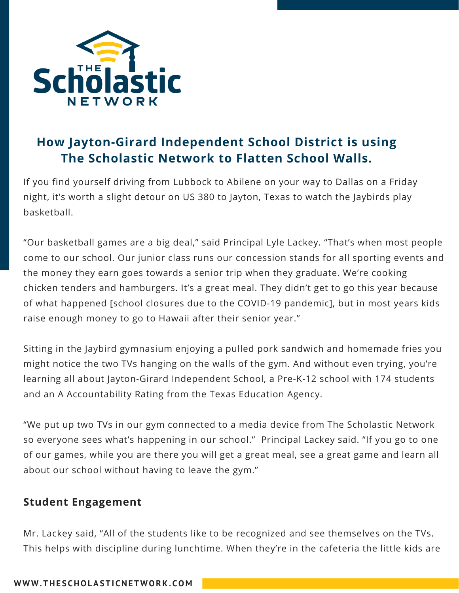

# **How Jayton-Girard Independent School District is using The Scholastic Network to Flatten School Walls.**

If you find yourself driving from Lubbock to Abilene on your way to Dallas on a Friday night, it's worth a slight detour on US 380 to Jayton, Texas to watch the Jaybirds play basketball.

"Our basketball games are a big deal," said Principal Lyle Lackey. "That's when most people come to our school. Our junior class runs our concession stands for all sporting events and the money they earn goes towards a senior trip when they graduate. We're cooking chicken tenders and hamburgers. It's a great meal. They didn't get to go this year because of what happened [school closures due to the COVID-19 pandemic], but in most years kids raise enough money to go to Hawaii after their senior year."

Sitting in the Jaybird gymnasium enjoying a pulled pork sandwich and homemade fries you might notice the two TVs hanging on the walls of the gym. And without even trying, you're learning all about Jayton-Girard Independent School, a Pre-K-12 school with 174 students and an A Accountability Rating from the Texas Education Agency.

"We put up two TVs in our gym connected to a media device from The Scholastic Network so everyone sees what's happening in our school." Principal Lackey said. "If you go to one of our games, while you are there you will get a great meal, see a great game and learn all about our school without having to leave the gym."

### **Student Engagement**

Mr. Lackey said, "All of the students like to be recognized and see themselves on the TVs. This helps with discipline during lunchtime. When they're in the cafeteria the little kids are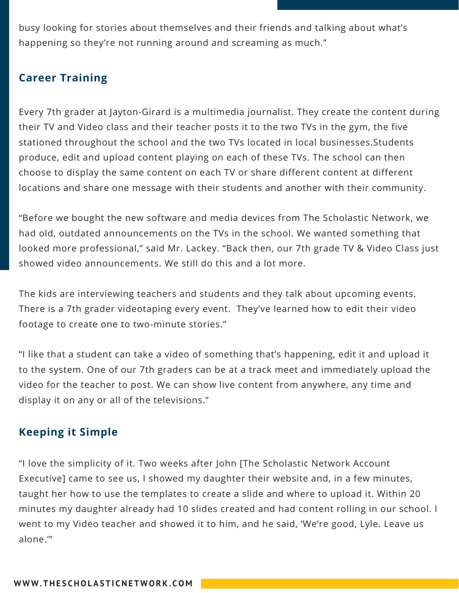busy looking for stories about themselves and their friends and talking about what's happening so they're not running around and screaming as much."

## **Career Training**

Every 7th grader at Jayton-Girard is a multimedia journalist. They create the content during their TV and Video class and their teacher posts it to the two TVs in the gym, the five stationed throughout the school and the two TVs located in local businesses.Students produce, edit and upload content playing on each of these TVs. The school can then choose to display the same content on each TV or share different content at different locations and share one message with their students and another with their community.

"Before we bought the new software and media devices from The Scholastic Network, we had old, outdated announcements on the TVs in the school. We wanted something that looked more professional," said Mr. Lackey. "Back then, our 7th grade TV & Video Class just showed video announcements. We still do this and a lot more.

The kids are interviewing teachers and students and they talk about upcoming events. There is a 7th grader videotaping every event. They've learned how to edit their video footage to create one to two-minute stories."

"I like that a student can take a video of something that's happening, edit it and upload it to the system. One of our 7th graders can be at a track meet and immediately upload the video for the teacher to post. We can show live content from anywhere, any time and display it on any or all of the televisions."

### **Keeping it Simple**

"I love the simplicity of it. Two weeks after John [The Scholastic Network Account Executive] came to see us, I showed my daughter their website and, in a few minutes, taught her how to use the templates to create a slide and where to upload it. Within 20 minutes my daughter already had 10 slides created and had content rolling in our school. I went to my Video teacher and showed it to him, and he said, 'We're good, Lyle. Leave us alone.'"